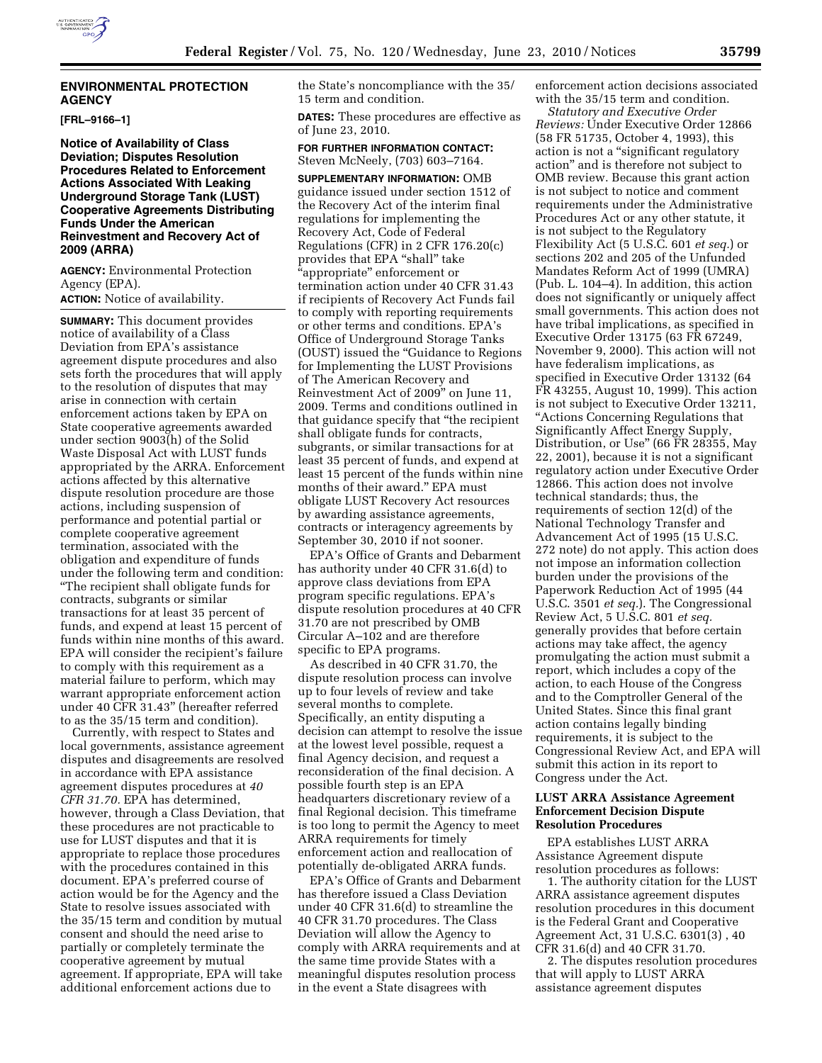# **ENVIRONMENTAL PROTECTION AGENCY**

**[FRL–9166–1]** 

**Notice of Availability of Class Deviation; Disputes Resolution Procedures Related to Enforcement Actions Associated With Leaking Underground Storage Tank (LUST) Cooperative Agreements Distributing Funds Under the American Reinvestment and Recovery Act of 2009 (ARRA)** 

**AGENCY:** Environmental Protection Agency (EPA). **ACTION:** Notice of availability.

**SUMMARY:** This document provides notice of availability of a Class Deviation from EPA's assistance agreement dispute procedures and also sets forth the procedures that will apply to the resolution of disputes that may arise in connection with certain enforcement actions taken by EPA on State cooperative agreements awarded under section 9003(h) of the Solid Waste Disposal Act with LUST funds appropriated by the ARRA. Enforcement actions affected by this alternative dispute resolution procedure are those actions, including suspension of performance and potential partial or complete cooperative agreement termination, associated with the obligation and expenditure of funds under the following term and condition: ''The recipient shall obligate funds for contracts, subgrants or similar transactions for at least 35 percent of funds, and expend at least 15 percent of funds within nine months of this award. EPA will consider the recipient's failure to comply with this requirement as a material failure to perform, which may warrant appropriate enforcement action under 40 CFR 31.43'' (hereafter referred to as the 35/15 term and condition).

Currently, with respect to States and local governments, assistance agreement disputes and disagreements are resolved in accordance with EPA assistance agreement disputes procedures at *40 CFR 31.70.* EPA has determined, however, through a Class Deviation, that these procedures are not practicable to use for LUST disputes and that it is appropriate to replace those procedures with the procedures contained in this document. EPA's preferred course of action would be for the Agency and the State to resolve issues associated with the 35/15 term and condition by mutual consent and should the need arise to partially or completely terminate the cooperative agreement by mutual agreement. If appropriate, EPA will take additional enforcement actions due to

the State's noncompliance with the 35/ 15 term and condition.

**DATES:** These procedures are effective as of June 23, 2010.

**FOR FURTHER INFORMATION CONTACT:**  Steven McNeely, (703) 603–7164.

**SUPPLEMENTARY INFORMATION:** OMB guidance issued under section 1512 of the Recovery Act of the interim final regulations for implementing the Recovery Act, Code of Federal Regulations (CFR) in 2 CFR 176.20(c) provides that EPA "shall" take ''appropriate'' enforcement or termination action under 40 CFR 31.43 if recipients of Recovery Act Funds fail to comply with reporting requirements or other terms and conditions. EPA's Office of Underground Storage Tanks (OUST) issued the ''Guidance to Regions for Implementing the LUST Provisions of The American Recovery and Reinvestment Act of 2009'' on June 11, 2009. Terms and conditions outlined in that guidance specify that ''the recipient shall obligate funds for contracts, subgrants, or similar transactions for at least 35 percent of funds, and expend at least 15 percent of the funds within nine months of their award.'' EPA must obligate LUST Recovery Act resources by awarding assistance agreements, contracts or interagency agreements by September 30, 2010 if not sooner.

EPA's Office of Grants and Debarment has authority under 40 CFR 31.6(d) to approve class deviations from EPA program specific regulations. EPA's dispute resolution procedures at 40 CFR 31.70 are not prescribed by OMB Circular A–102 and are therefore specific to EPA programs.

As described in 40 CFR 31.70, the dispute resolution process can involve up to four levels of review and take several months to complete. Specifically, an entity disputing a decision can attempt to resolve the issue at the lowest level possible, request a final Agency decision, and request a reconsideration of the final decision. A possible fourth step is an EPA headquarters discretionary review of a final Regional decision. This timeframe is too long to permit the Agency to meet ARRA requirements for timely enforcement action and reallocation of potentially de-obligated ARRA funds.

EPA's Office of Grants and Debarment has therefore issued a Class Deviation under 40 CFR 31.6(d) to streamline the 40 CFR 31.70 procedures. The Class Deviation will allow the Agency to comply with ARRA requirements and at the same time provide States with a meaningful disputes resolution process in the event a State disagrees with

enforcement action decisions associated with the 35/15 term and condition.

*Statutory and Executive Order Reviews:* Under Executive Order 12866 (58 FR 51735, October 4, 1993), this action is not a ''significant regulatory action'' and is therefore not subject to OMB review. Because this grant action is not subject to notice and comment requirements under the Administrative Procedures Act or any other statute, it is not subject to the Regulatory Flexibility Act (5 U.S.C. 601 *et seq.*) or sections 202 and 205 of the Unfunded Mandates Reform Act of 1999 (UMRA) (Pub. L. 104–4). In addition, this action does not significantly or uniquely affect small governments. This action does not have tribal implications, as specified in Executive Order 13175 (63 FR 67249, November 9, 2000). This action will not have federalism implications, as specified in Executive Order 13132 (64 FR 43255, August 10, 1999). This action is not subject to Executive Order 13211, ''Actions Concerning Regulations that Significantly Affect Energy Supply, Distribution, or Use'' (66 FR 28355, May 22, 2001), because it is not a significant regulatory action under Executive Order 12866. This action does not involve technical standards; thus, the requirements of section 12(d) of the National Technology Transfer and Advancement Act of 1995 (15 U.S.C. 272 note) do not apply. This action does not impose an information collection burden under the provisions of the Paperwork Reduction Act of 1995 (44 U.S.C. 3501 *et seq.*). The Congressional Review Act, 5 U.S.C. 801 *et seq.*  generally provides that before certain actions may take affect, the agency promulgating the action must submit a report, which includes a copy of the action, to each House of the Congress and to the Comptroller General of the United States. Since this final grant action contains legally binding requirements, it is subject to the Congressional Review Act, and EPA will submit this action in its report to Congress under the Act.

#### **LUST ARRA Assistance Agreement Enforcement Decision Dispute Resolution Procedures**

EPA establishes LUST ARRA Assistance Agreement dispute resolution procedures as follows:

1. The authority citation for the LUST ARRA assistance agreement disputes resolution procedures in this document is the Federal Grant and Cooperative Agreement Act, 31 U.S.C. 6301(3) , 40 CFR 31.6(d) and 40 CFR 31.70.

2. The disputes resolution procedures that will apply to LUST ARRA assistance agreement disputes